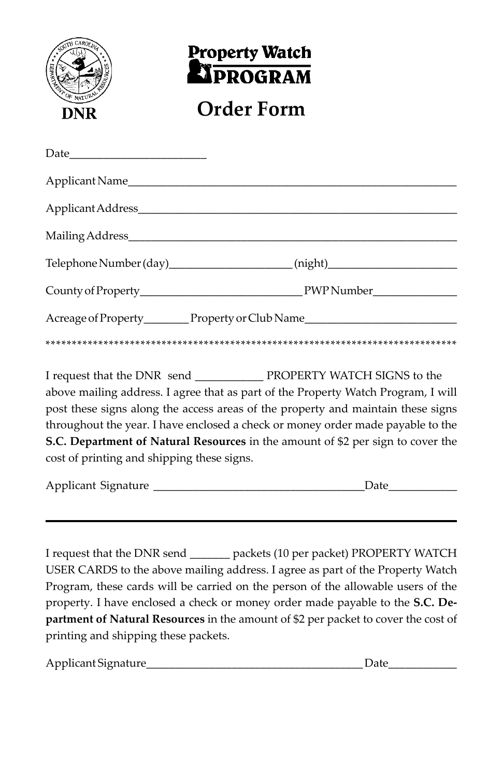

## **Property Watch EXPROGRAM**

## **Order Form**

|                                            | Telephone Number (day)_______________________(night)____________________________                                                                                                                                                                                                                                                            |
|--------------------------------------------|---------------------------------------------------------------------------------------------------------------------------------------------------------------------------------------------------------------------------------------------------------------------------------------------------------------------------------------------|
|                                            |                                                                                                                                                                                                                                                                                                                                             |
|                                            | Acreage of Property_________Property or Club Name_______________________________                                                                                                                                                                                                                                                            |
|                                            |                                                                                                                                                                                                                                                                                                                                             |
| cost of printing and shipping these signs. | above mailing address. I agree that as part of the Property Watch Program, I will<br>post these signs along the access areas of the property and maintain these signs<br>throughout the year. I have enclosed a check or money order made payable to the<br>S.C. Department of Natural Resources in the amount of \$2 per sign to cover the |

| Applicant<br>Sionature |  |
|------------------------|--|
|------------------------|--|

I request that the DNR send \_\_\_\_\_\_\_ packets (10 per packet) PROPERTY WATCH USER CARDS to the above mailing address. I agree as part of the Property Watch Program, these cards will be carried on the person of the allowable users of the property. I have enclosed a check or money order made payable to the **S.C. Department of Natural Resources** in the amount of \$2 per packet to cover the cost of printing and shipping these packets.

Applicant Signature\_\_\_\_\_\_\_\_\_\_\_\_\_\_\_\_\_\_\_\_\_\_\_\_\_\_\_\_\_\_\_\_\_\_\_\_\_\_ Date\_\_\_\_\_\_\_\_\_\_\_\_